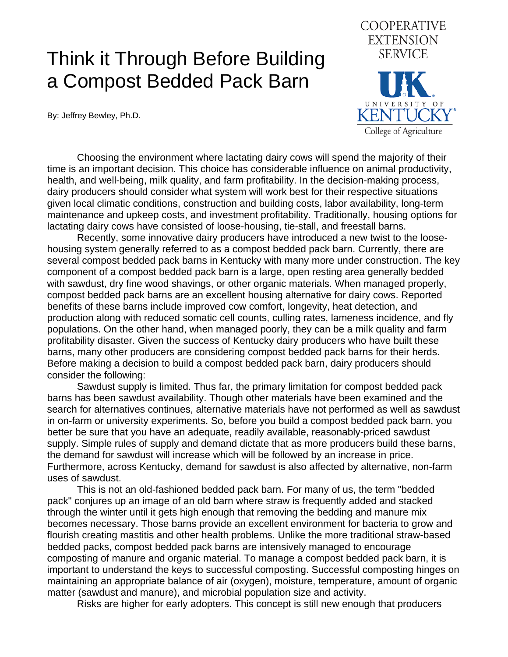## Think it Through Before Building a Compost Bedded Pack Barn

By: Jeffrey Bewley, Ph.D.



 Choosing the environment where lactating dairy cows will spend the majority of their time is an important decision. This choice has considerable influence on animal productivity, health, and well-being, milk quality, and farm profitability. In the decision-making process, dairy producers should consider what system will work best for their respective situations given local climatic conditions, construction and building costs, labor availability, long-term maintenance and upkeep costs, and investment profitability. Traditionally, housing options for lactating dairy cows have consisted of loose-housing, tie-stall, and freestall barns.

 Recently, some innovative dairy producers have introduced a new twist to the loosehousing system generally referred to as a compost bedded pack barn. Currently, there are several compost bedded pack barns in Kentucky with many more under construction. The key component of a compost bedded pack barn is a large, open resting area generally bedded with sawdust, dry fine wood shavings, or other organic materials. When managed properly, compost bedded pack barns are an excellent housing alternative for dairy cows. Reported benefits of these barns include improved cow comfort, longevity, heat detection, and production along with reduced somatic cell counts, culling rates, lameness incidence, and fly populations. On the other hand, when managed poorly, they can be a milk quality and farm profitability disaster. Given the success of Kentucky dairy producers who have built these barns, many other producers are considering compost bedded pack barns for their herds. Before making a decision to build a compost bedded pack barn, dairy producers should consider the following:

 Sawdust supply is limited. Thus far, the primary limitation for compost bedded pack barns has been sawdust availability. Though other materials have been examined and the search for alternatives continues, alternative materials have not performed as well as sawdust in on-farm or university experiments. So, before you build a compost bedded pack barn, you better be sure that you have an adequate, readily available, reasonably-priced sawdust supply. Simple rules of supply and demand dictate that as more producers build these barns, the demand for sawdust will increase which will be followed by an increase in price. Furthermore, across Kentucky, demand for sawdust is also affected by alternative, non-farm uses of sawdust.

 This is not an old-fashioned bedded pack barn. For many of us, the term "bedded pack" conjures up an image of an old barn where straw is frequently added and stacked through the winter until it gets high enough that removing the bedding and manure mix becomes necessary. Those barns provide an excellent environment for bacteria to grow and flourish creating mastitis and other health problems. Unlike the more traditional straw-based bedded packs, compost bedded pack barns are intensively managed to encourage composting of manure and organic material. To manage a compost bedded pack barn, it is important to understand the keys to successful composting. Successful composting hinges on maintaining an appropriate balance of air (oxygen), moisture, temperature, amount of organic matter (sawdust and manure), and microbial population size and activity.

Risks are higher for early adopters. This concept is still new enough that producers